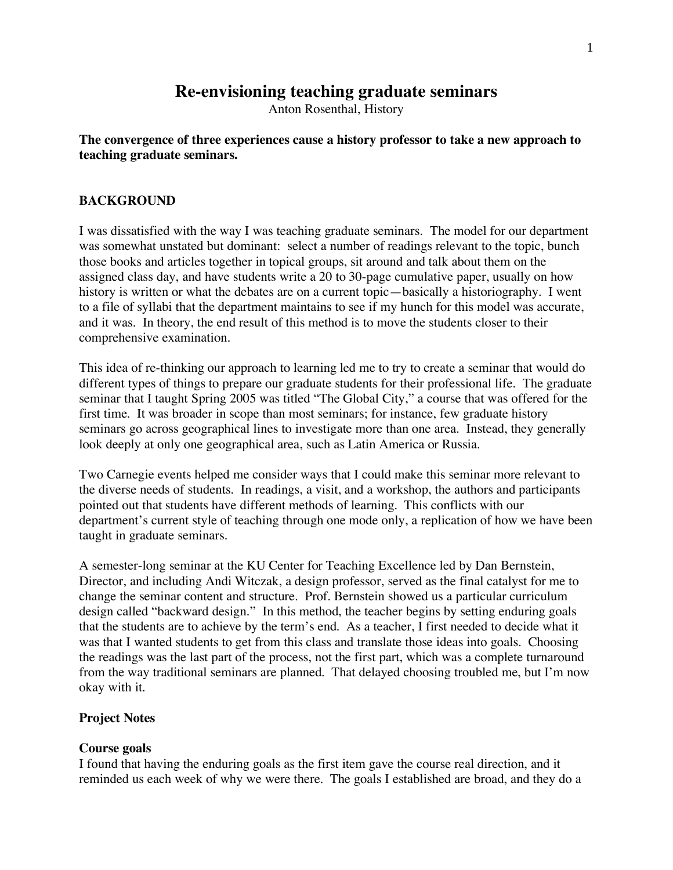# **Re-envisioning teaching graduate seminars**

Anton Rosenthal, History

### **The convergence of three experiences cause a history professor to take a new approach to teaching graduate seminars.**

### **BACKGROUND**

I was dissatisfied with the way I was teaching graduate seminars. The model for our department was somewhat unstated but dominant: select a number of readings relevant to the topic, bunch those books and articles together in topical groups, sit around and talk about them on the assigned class day, and have students write a 20 to 30-page cumulative paper, usually on how history is written or what the debates are on a current topic—basically a historiography. I went to a file of syllabi that the department maintains to see if my hunch for this model was accurate, and it was. In theory, the end result of this method is to move the students closer to their comprehensive examination.

This idea of re-thinking our approach to learning led me to try to create a seminar that would do different types of things to prepare our graduate students for their professional life. The graduate seminar that I taught Spring 2005 was titled "The Global City," a course that was offered for the first time. It was broader in scope than most seminars; for instance, few graduate history seminars go across geographical lines to investigate more than one area. Instead, they generally look deeply at only one geographical area, such as Latin America or Russia.

Two Carnegie events helped me consider ways that I could make this seminar more relevant to the diverse needs of students. In readings, a visit, and a workshop, the authors and participants pointed out that students have different methods of learning. This conflicts with our department's current style of teaching through one mode only, a replication of how we have been taught in graduate seminars.

A semester-long seminar at the KU Center for Teaching Excellence led by Dan Bernstein, Director, and including Andi Witczak, a design professor, served as the final catalyst for me to change the seminar content and structure. Prof. Bernstein showed us a particular curriculum design called "backward design." In this method, the teacher begins by setting enduring goals that the students are to achieve by the term's end. As a teacher, I first needed to decide what it was that I wanted students to get from this class and translate those ideas into goals. Choosing the readings was the last part of the process, not the first part, which was a complete turnaround from the way traditional seminars are planned. That delayed choosing troubled me, but I'm now okay with it.

### **Project Notes**

### **Course goals**

I found that having the enduring goals as the first item gave the course real direction, and it reminded us each week of why we were there. The goals I established are broad, and they do a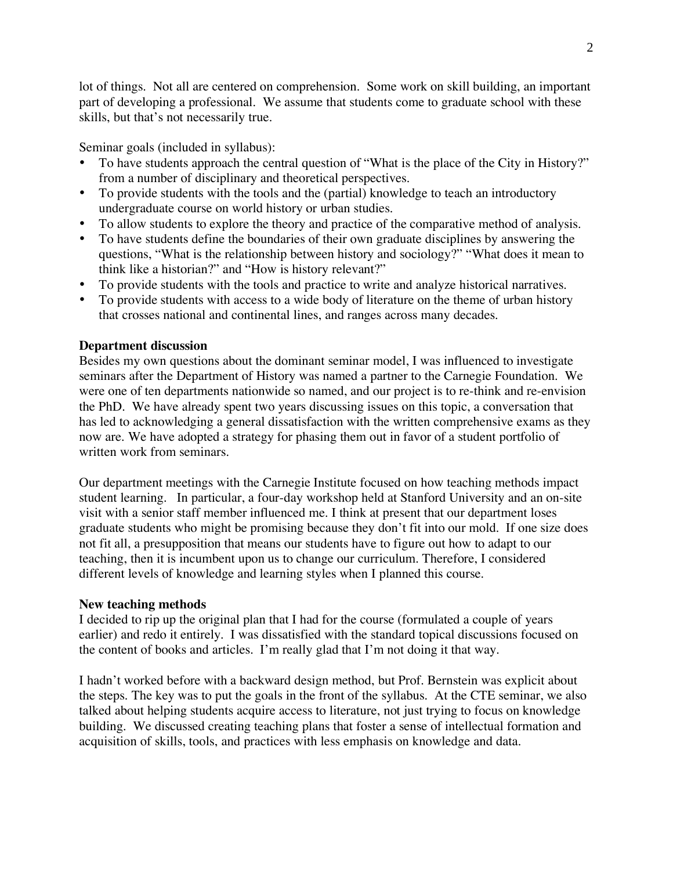lot of things. Not all are centered on comprehension. Some work on skill building, an important part of developing a professional. We assume that students come to graduate school with these skills, but that's not necessarily true.

Seminar goals (included in syllabus):

- To have students approach the central question of "What is the place of the City in History?" from a number of disciplinary and theoretical perspectives.
- To provide students with the tools and the (partial) knowledge to teach an introductory undergraduate course on world history or urban studies.
- To allow students to explore the theory and practice of the comparative method of analysis.
- To have students define the boundaries of their own graduate disciplines by answering the questions, "What is the relationship between history and sociology?" "What does it mean to think like a historian?" and "How is history relevant?"
- To provide students with the tools and practice to write and analyze historical narratives.
- To provide students with access to a wide body of literature on the theme of urban history that crosses national and continental lines, and ranges across many decades.

## **Department discussion**

Besides my own questions about the dominant seminar model, I was influenced to investigate seminars after the Department of History was named a partner to the Carnegie Foundation. We were one of ten departments nationwide so named, and our project is to re-think and re-envision the PhD. We have already spent two years discussing issues on this topic, a conversation that has led to acknowledging a general dissatisfaction with the written comprehensive exams as they now are. We have adopted a strategy for phasing them out in favor of a student portfolio of written work from seminars.

Our department meetings with the Carnegie Institute focused on how teaching methods impact student learning. In particular, a four-day workshop held at Stanford University and an on-site visit with a senior staff member influenced me. I think at present that our department loses graduate students who might be promising because they don't fit into our mold. If one size does not fit all, a presupposition that means our students have to figure out how to adapt to our teaching, then it is incumbent upon us to change our curriculum. Therefore, I considered different levels of knowledge and learning styles when I planned this course.

## **New teaching methods**

I decided to rip up the original plan that I had for the course (formulated a couple of years earlier) and redo it entirely. I was dissatisfied with the standard topical discussions focused on the content of books and articles. I'm really glad that I'm not doing it that way.

I hadn't worked before with a backward design method, but Prof. Bernstein was explicit about the steps. The key was to put the goals in the front of the syllabus. At the CTE seminar, we also talked about helping students acquire access to literature, not just trying to focus on knowledge building. We discussed creating teaching plans that foster a sense of intellectual formation and acquisition of skills, tools, and practices with less emphasis on knowledge and data.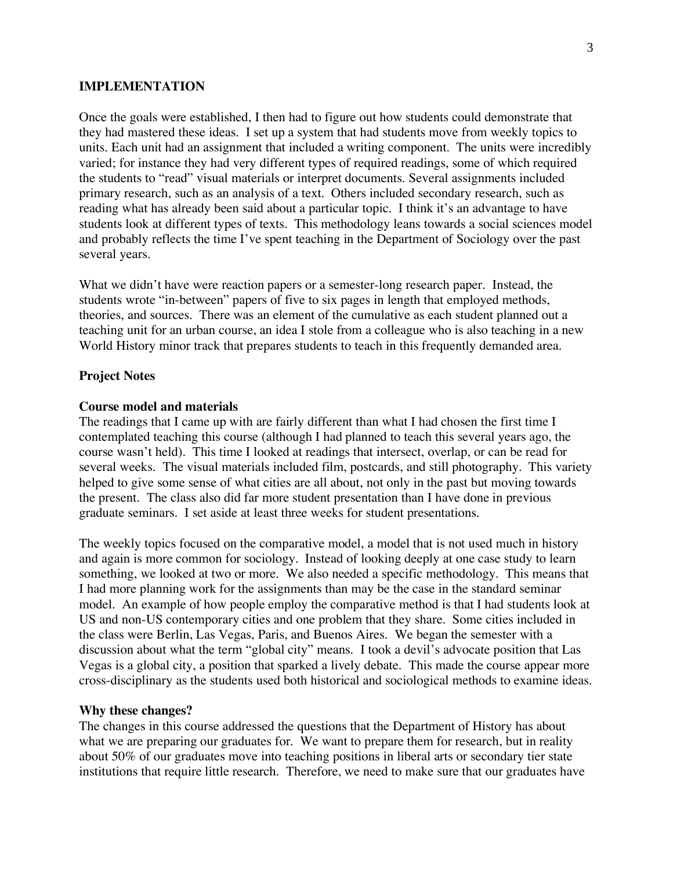#### **IMPLEMENTATION**

Once the goals were established, I then had to figure out how students could demonstrate that they had mastered these ideas. I set up a system that had students move from weekly topics to units. Each unit had an assignment that included a writing component. The units were incredibly varied; for instance they had very different types of required readings, some of which required the students to "read" visual materials or interpret documents. Several assignments included primary research, such as an analysis of a text. Others included secondary research, such as reading what has already been said about a particular topic. I think it's an advantage to have students look at different types of texts. This methodology leans towards a social sciences model and probably reflects the time I've spent teaching in the Department of Sociology over the past several years.

What we didn't have were reaction papers or a semester-long research paper. Instead, the students wrote "in-between" papers of five to six pages in length that employed methods, theories, and sources. There was an element of the cumulative as each student planned out a teaching unit for an urban course, an idea I stole from a colleague who is also teaching in a new World History minor track that prepares students to teach in this frequently demanded area.

#### **Project Notes**

#### **Course model and materials**

The readings that I came up with are fairly different than what I had chosen the first time I contemplated teaching this course (although I had planned to teach this several years ago, the course wasn't held). This time I looked at readings that intersect, overlap, or can be read for several weeks. The visual materials included film, postcards, and still photography. This variety helped to give some sense of what cities are all about, not only in the past but moving towards the present. The class also did far more student presentation than I have done in previous graduate seminars. I set aside at least three weeks for student presentations.

The weekly topics focused on the comparative model, a model that is not used much in history and again is more common for sociology. Instead of looking deeply at one case study to learn something, we looked at two or more. We also needed a specific methodology. This means that I had more planning work for the assignments than may be the case in the standard seminar model. An example of how people employ the comparative method is that I had students look at US and non-US contemporary cities and one problem that they share. Some cities included in the class were Berlin, Las Vegas, Paris, and Buenos Aires. We began the semester with a discussion about what the term "global city" means. I took a devil's advocate position that Las Vegas is a global city, a position that sparked a lively debate. This made the course appear more cross-disciplinary as the students used both historical and sociological methods to examine ideas.

#### **Why these changes?**

The changes in this course addressed the questions that the Department of History has about what we are preparing our graduates for. We want to prepare them for research, but in reality about 50% of our graduates move into teaching positions in liberal arts or secondary tier state institutions that require little research. Therefore, we need to make sure that our graduates have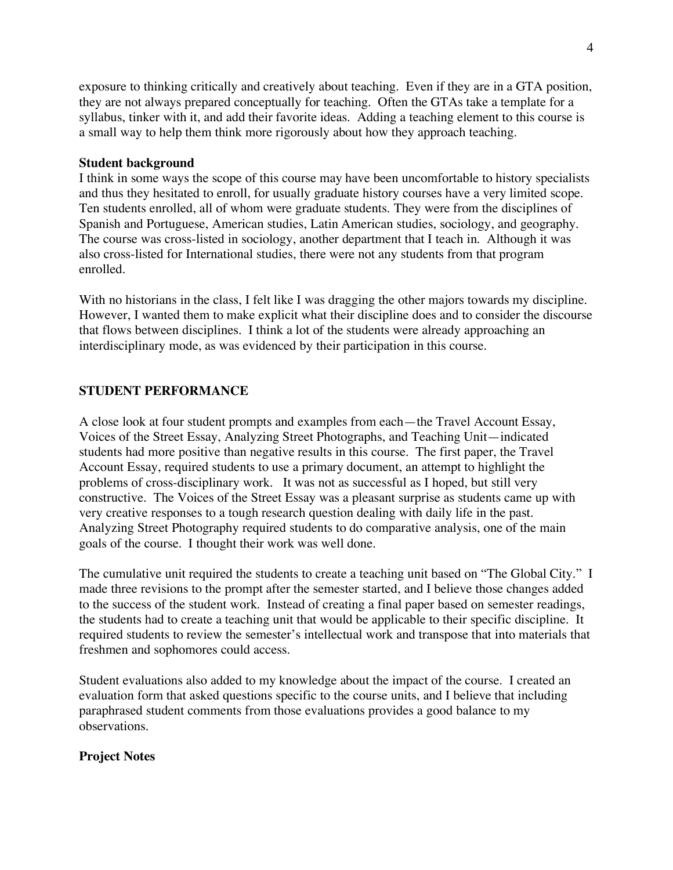exposure to thinking critically and creatively about teaching. Even if they are in a GTA position, they are not always prepared conceptually for teaching. Often the GTAs take a template for a syllabus, tinker with it, and add their favorite ideas. Adding a teaching element to this course is a small way to help them think more rigorously about how they approach teaching.

#### **Student background**

I think in some ways the scope of this course may have been uncomfortable to history specialists and thus they hesitated to enroll, for usually graduate history courses have a very limited scope. Ten students enrolled, all of whom were graduate students. They were from the disciplines of Spanish and Portuguese, American studies, Latin American studies, sociology, and geography. The course was cross-listed in sociology, another department that I teach in. Although it was also cross-listed for International studies, there were not any students from that program enrolled.

With no historians in the class, I felt like I was dragging the other majors towards my discipline. However, I wanted them to make explicit what their discipline does and to consider the discourse that flows between disciplines. I think a lot of the students were already approaching an interdisciplinary mode, as was evidenced by their participation in this course.

#### **STUDENT PERFORMANCE**

A close look at four student prompts and examples from each—the Travel Account Essay, Voices of the Street Essay, Analyzing Street Photographs, and Teaching Unit—indicated students had more positive than negative results in this course. The first paper, the Travel Account Essay, required students to use a primary document, an attempt to highlight the problems of cross-disciplinary work. It was not as successful as I hoped, but still very constructive. The Voices of the Street Essay was a pleasant surprise as students came up with very creative responses to a tough research question dealing with daily life in the past. Analyzing Street Photography required students to do comparative analysis, one of the main goals of the course. I thought their work was well done.

The cumulative unit required the students to create a teaching unit based on "The Global City." I made three revisions to the prompt after the semester started, and I believe those changes added to the success of the student work. Instead of creating a final paper based on semester readings, the students had to create a teaching unit that would be applicable to their specific discipline. It required students to review the semester's intellectual work and transpose that into materials that freshmen and sophomores could access.

Student evaluations also added to my knowledge about the impact of the course. I created an evaluation form that asked questions specific to the course units, and I believe that including paraphrased student comments from those evaluations provides a good balance to my observations.

#### **Project Notes**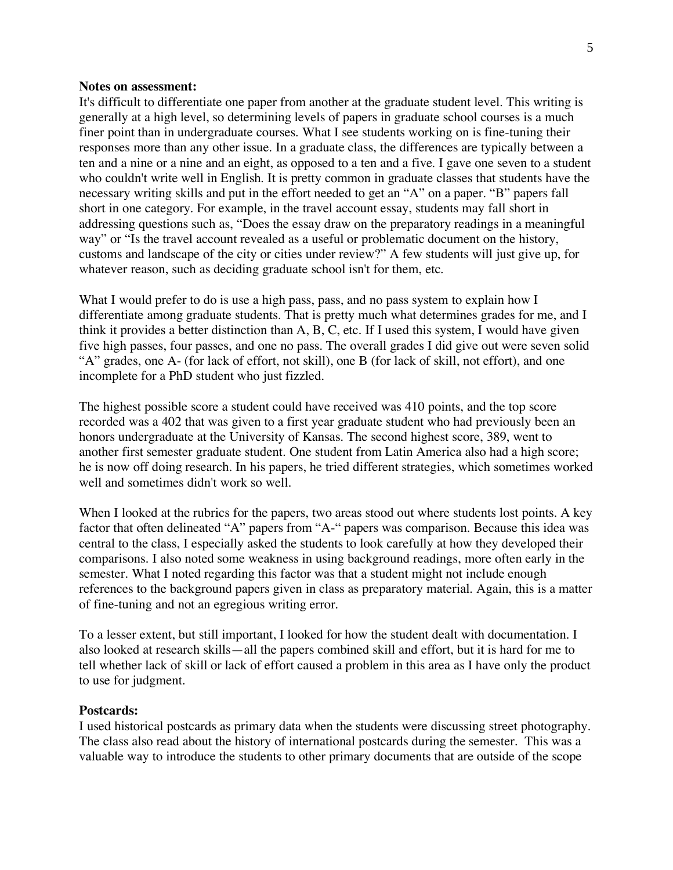#### **Notes on assessment:**

It's difficult to differentiate one paper from another at the graduate student level. This writing is generally at a high level, so determining levels of papers in graduate school courses is a much finer point than in undergraduate courses. What I see students working on is fine-tuning their responses more than any other issue. In a graduate class, the differences are typically between a ten and a nine or a nine and an eight, as opposed to a ten and a five. I gave one seven to a student who couldn't write well in English. It is pretty common in graduate classes that students have the necessary writing skills and put in the effort needed to get an "A" on a paper. "B" papers fall short in one category. For example, in the travel account essay, students may fall short in addressing questions such as, "Does the essay draw on the preparatory readings in a meaningful way" or "Is the travel account revealed as a useful or problematic document on the history, customs and landscape of the city or cities under review?" A few students will just give up, for whatever reason, such as deciding graduate school isn't for them, etc.

What I would prefer to do is use a high pass, pass, and no pass system to explain how I differentiate among graduate students. That is pretty much what determines grades for me, and I think it provides a better distinction than A, B, C, etc. If I used this system, I would have given five high passes, four passes, and one no pass. The overall grades I did give out were seven solid "A" grades, one A- (for lack of effort, not skill), one B (for lack of skill, not effort), and one incomplete for a PhD student who just fizzled.

The highest possible score a student could have received was 410 points, and the top score recorded was a 402 that was given to a first year graduate student who had previously been an honors undergraduate at the University of Kansas. The second highest score, 389, went to another first semester graduate student. One student from Latin America also had a high score; he is now off doing research. In his papers, he tried different strategies, which sometimes worked well and sometimes didn't work so well.

When I looked at the rubrics for the papers, two areas stood out where students lost points. A key factor that often delineated "A" papers from "A-" papers was comparison. Because this idea was central to the class, I especially asked the students to look carefully at how they developed their comparisons. I also noted some weakness in using background readings, more often early in the semester. What I noted regarding this factor was that a student might not include enough references to the background papers given in class as preparatory material. Again, this is a matter of fine-tuning and not an egregious writing error.

To a lesser extent, but still important, I looked for how the student dealt with documentation. I also looked at research skills—all the papers combined skill and effort, but it is hard for me to tell whether lack of skill or lack of effort caused a problem in this area as I have only the product to use for judgment.

#### **Postcards:**

I used historical postcards as primary data when the students were discussing street photography. The class also read about the history of international postcards during the semester. This was a valuable way to introduce the students to other primary documents that are outside of the scope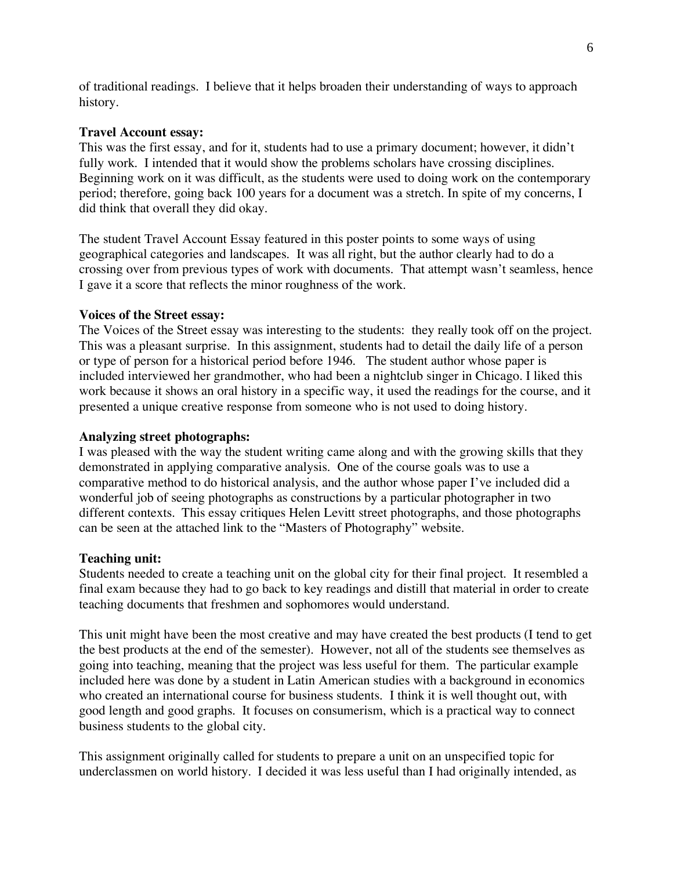of traditional readings. I believe that it helps broaden their understanding of ways to approach history.

### **Travel Account essay:**

This was the first essay, and for it, students had to use a primary document; however, it didn't fully work. I intended that it would show the problems scholars have crossing disciplines. Beginning work on it was difficult, as the students were used to doing work on the contemporary period; therefore, going back 100 years for a document was a stretch. In spite of my concerns, I did think that overall they did okay.

The student Travel Account Essay featured in this poster points to some ways of using geographical categories and landscapes. It was all right, but the author clearly had to do a crossing over from previous types of work with documents. That attempt wasn't seamless, hence I gave it a score that reflects the minor roughness of the work.

### **Voices of the Street essay:**

The Voices of the Street essay was interesting to the students: they really took off on the project. This was a pleasant surprise. In this assignment, students had to detail the daily life of a person or type of person for a historical period before 1946. The student author whose paper is included interviewed her grandmother, who had been a nightclub singer in Chicago. I liked this work because it shows an oral history in a specific way, it used the readings for the course, and it presented a unique creative response from someone who is not used to doing history.

### **Analyzing street photographs:**

I was pleased with the way the student writing came along and with the growing skills that they demonstrated in applying comparative analysis. One of the course goals was to use a comparative method to do historical analysis, and the author whose paper I've included did a wonderful job of seeing photographs as constructions by a particular photographer in two different contexts. This essay critiques Helen Levitt street photographs, and those photographs can be seen at the attached link to the "Masters of Photography" website.

### **Teaching unit:**

Students needed to create a teaching unit on the global city for their final project. It resembled a final exam because they had to go back to key readings and distill that material in order to create teaching documents that freshmen and sophomores would understand.

This unit might have been the most creative and may have created the best products (I tend to get the best products at the end of the semester). However, not all of the students see themselves as going into teaching, meaning that the project was less useful for them. The particular example included here was done by a student in Latin American studies with a background in economics who created an international course for business students. I think it is well thought out, with good length and good graphs. It focuses on consumerism, which is a practical way to connect business students to the global city.

This assignment originally called for students to prepare a unit on an unspecified topic for underclassmen on world history. I decided it was less useful than I had originally intended, as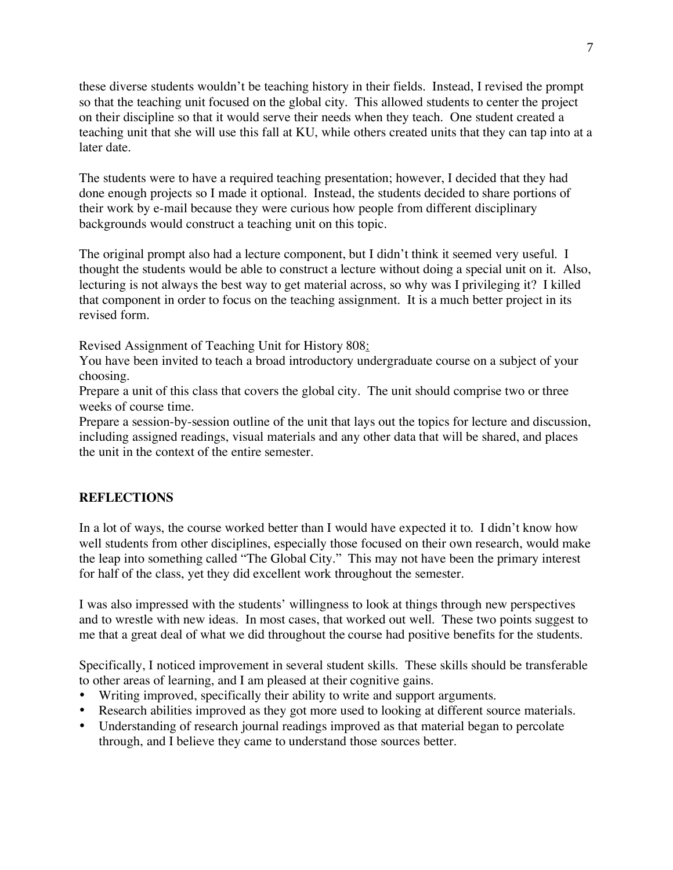these diverse students wouldn't be teaching history in their fields. Instead, I revised the prompt so that the teaching unit focused on the global city. This allowed students to center the project on their discipline so that it would serve their needs when they teach. One student created a teaching unit that she will use this fall at KU, while others created units that they can tap into at a later date.

The students were to have a required teaching presentation; however, I decided that they had done enough projects so I made it optional. Instead, the students decided to share portions of their work by e-mail because they were curious how people from different disciplinary backgrounds would construct a teaching unit on this topic.

The original prompt also had a lecture component, but I didn't think it seemed very useful. I thought the students would be able to construct a lecture without doing a special unit on it. Also, lecturing is not always the best way to get material across, so why was I privileging it? I killed that component in order to focus on the teaching assignment. It is a much better project in its revised form.

Revised Assignment of Teaching Unit for History 808:

You have been invited to teach a broad introductory undergraduate course on a subject of your choosing.

Prepare a unit of this class that covers the global city. The unit should comprise two or three weeks of course time.

Prepare a session-by-session outline of the unit that lays out the topics for lecture and discussion, including assigned readings, visual materials and any other data that will be shared, and places the unit in the context of the entire semester.

## **REFLECTIONS**

In a lot of ways, the course worked better than I would have expected it to. I didn't know how well students from other disciplines, especially those focused on their own research, would make the leap into something called "The Global City." This may not have been the primary interest for half of the class, yet they did excellent work throughout the semester.

I was also impressed with the students' willingness to look at things through new perspectives and to wrestle with new ideas. In most cases, that worked out well. These two points suggest to me that a great deal of what we did throughout the course had positive benefits for the students.

Specifically, I noticed improvement in several student skills. These skills should be transferable to other areas of learning, and I am pleased at their cognitive gains.

- Writing improved, specifically their ability to write and support arguments.
- Research abilities improved as they got more used to looking at different source materials.
- Understanding of research journal readings improved as that material began to percolate through, and I believe they came to understand those sources better.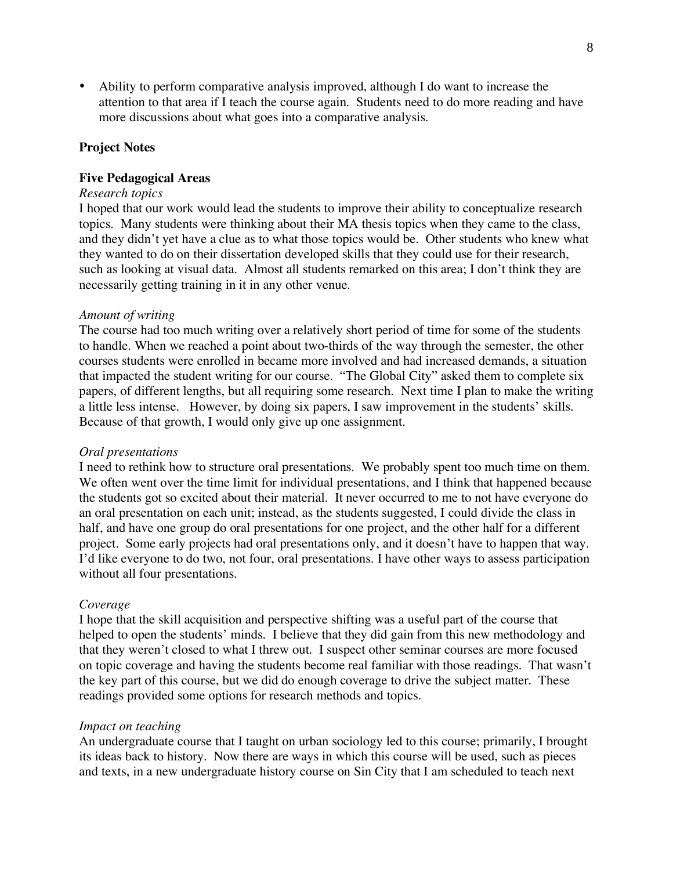• Ability to perform comparative analysis improved, although I do want to increase the attention to that area if I teach the course again. Students need to do more reading and have more discussions about what goes into a comparative analysis.

### **Project Notes**

#### **Five Pedagogical Areas**

### *Research topics*

I hoped that our work would lead the students to improve their ability to conceptualize research topics. Many students were thinking about their MA thesis topics when they came to the class, and they didn't yet have a clue as to what those topics would be. Other students who knew what they wanted to do on their dissertation developed skills that they could use for their research, such as looking at visual data. Almost all students remarked on this area; I don't think they are necessarily getting training in it in any other venue.

#### *Amount of writing*

The course had too much writing over a relatively short period of time for some of the students to handle. When we reached a point about two-thirds of the way through the semester, the other courses students were enrolled in became more involved and had increased demands, a situation that impacted the student writing for our course. "The Global City" asked them to complete six papers, of different lengths, but all requiring some research. Next time I plan to make the writing a little less intense. However, by doing six papers, I saw improvement in the students' skills. Because of that growth, I would only give up one assignment.

#### *Oral presentations*

I need to rethink how to structure oral presentations. We probably spent too much time on them. We often went over the time limit for individual presentations, and I think that happened because the students got so excited about their material. It never occurred to me to not have everyone do an oral presentation on each unit; instead, as the students suggested, I could divide the class in half, and have one group do oral presentations for one project, and the other half for a different project. Some early projects had oral presentations only, and it doesn't have to happen that way. I'd like everyone to do two, not four, oral presentations. I have other ways to assess participation without all four presentations.

#### *Coverage*

I hope that the skill acquisition and perspective shifting was a useful part of the course that helped to open the students' minds. I believe that they did gain from this new methodology and that they weren't closed to what I threw out. I suspect other seminar courses are more focused on topic coverage and having the students become real familiar with those readings. That wasn't the key part of this course, but we did do enough coverage to drive the subject matter. These readings provided some options for research methods and topics.

### *Impact on teaching*

An undergraduate course that I taught on urban sociology led to this course; primarily, I brought its ideas back to history. Now there are ways in which this course will be used, such as pieces and texts, in a new undergraduate history course on Sin City that I am scheduled to teach next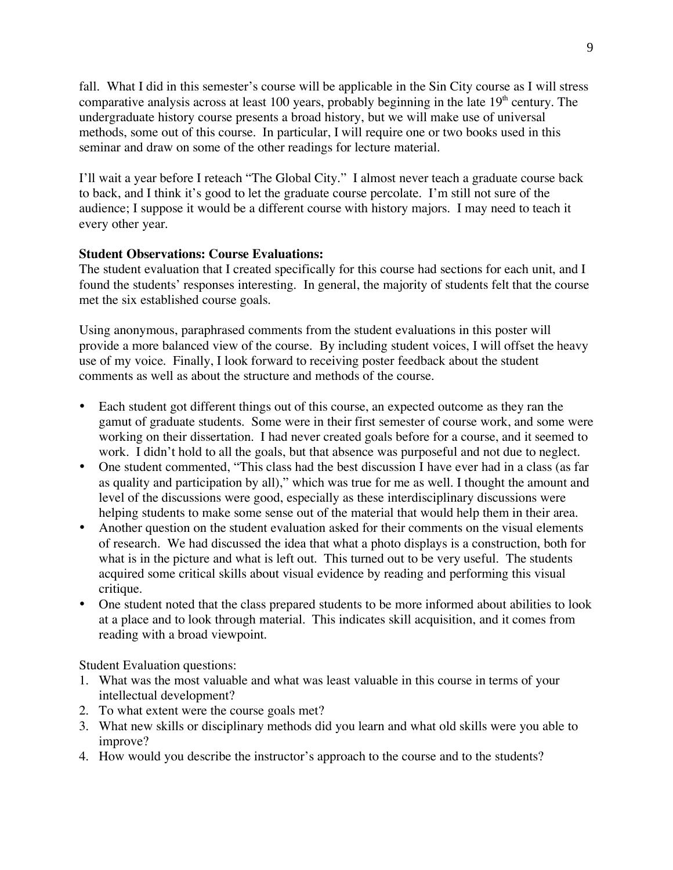fall. What I did in this semester's course will be applicable in the Sin City course as I will stress comparative analysis across at least 100 years, probably beginning in the late  $19<sup>th</sup>$  century. The undergraduate history course presents a broad history, but we will make use of universal methods, some out of this course. In particular, I will require one or two books used in this seminar and draw on some of the other readings for lecture material.

I'll wait a year before I reteach "The Global City." I almost never teach a graduate course back to back, and I think it's good to let the graduate course percolate. I'm still not sure of the audience; I suppose it would be a different course with history majors. I may need to teach it every other year.

### **Student Observations: Course Evaluations:**

The student evaluation that I created specifically for this course had sections for each unit, and I found the students' responses interesting. In general, the majority of students felt that the course met the six established course goals.

Using anonymous, paraphrased comments from the student evaluations in this poster will provide a more balanced view of the course. By including student voices, I will offset the heavy use of my voice. Finally, I look forward to receiving poster feedback about the student comments as well as about the structure and methods of the course.

- Each student got different things out of this course, an expected outcome as they ran the gamut of graduate students. Some were in their first semester of course work, and some were working on their dissertation. I had never created goals before for a course, and it seemed to work. I didn't hold to all the goals, but that absence was purposeful and not due to neglect.
- One student commented, "This class had the best discussion I have ever had in a class (as far as quality and participation by all)," which was true for me as well. I thought the amount and level of the discussions were good, especially as these interdisciplinary discussions were helping students to make some sense out of the material that would help them in their area.
- Another question on the student evaluation asked for their comments on the visual elements of research. We had discussed the idea that what a photo displays is a construction, both for what is in the picture and what is left out. This turned out to be very useful. The students acquired some critical skills about visual evidence by reading and performing this visual critique.
- One student noted that the class prepared students to be more informed about abilities to look at a place and to look through material. This indicates skill acquisition, and it comes from reading with a broad viewpoint.

Student Evaluation questions:

- 1. What was the most valuable and what was least valuable in this course in terms of your intellectual development?
- 2. To what extent were the course goals met?
- 3. What new skills or disciplinary methods did you learn and what old skills were you able to improve?
- 4. How would you describe the instructor's approach to the course and to the students?